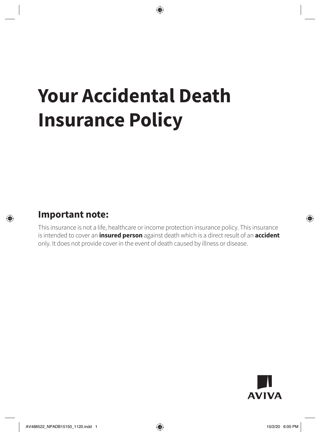# **Your Accidental Death Insurance Policy**

### **Important note:**

This insurance is not a life, healthcare or income protection insurance policy. This insurance is intended to cover an **insured person** against death which is a direct result of an **accident** only. It does not provide cover in the event of death caused by illness or disease.

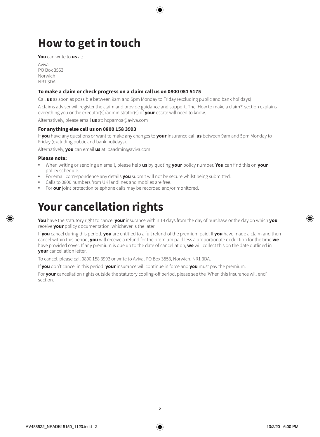# **How to get in touch**

**You** can write to **us** at:

Aviva PO Box 3553 Norwich NR1 3DA

#### **To make a claim or check progress on a claim call us on 0800 051 5175**

Call **us** as soon as possible between 9am and 5pm Monday to Friday (excluding public and bank holidays).

A claims adviser will register the claim and provide guidance and support. The 'How to make a claim?' section explains everything you or the executor(s)/administrator(s) of **your** estate will need to know.

Alternatively, please email **us** at: hcpamoa@aviva.com

#### **For anything else call us on 0800 158 3993**

If **you** have any questions or want to make any changes to **your** insurance call **us** between 9am and 5pm Monday to Friday (excluding public and bank holidays).

Alternatively, **you** can email **us** at: paadmin@aviva.com

#### **Please note:**

- When writing or sending an email, please help **us** by quoting **your** policy number. **You** can find this on **your** policy schedule.
- For email correspondence any details **you** submit will not be secure whilst being submitted.
- Calls to 0800 numbers from UK landlines and mobiles are free.
- For **our** joint protection telephone calls may be recorded and/or monitored.

### **Your cancellation rights**

**You** have the statutory right to cancel **your** insurance within 14 days from the day of purchase or the day on which **you** receive **your** policy documentation, whichever is the later.

If **you** cancel during this period, **you** are entitled to a full refund of the premium paid. If **you** have made a claim and then cancel within this period, **you** will receive a refund for the premium paid less a proportionate deduction for the time **we** have provided cover. If any premium is due up to the date of cancellation, **we** will collect this on the date outlined in **your** cancellation letter.

To cancel, please call 0800 158 3993 or write to Aviva, PO Box 3553, Norwich, NR1 3DA.

If **you** don't cancel in this period, **your** insurance will continue in force and **you** must pay the premium.

For **your** cancellation rights outside the statutory cooling-off period, please see the 'When this insurance will end' section.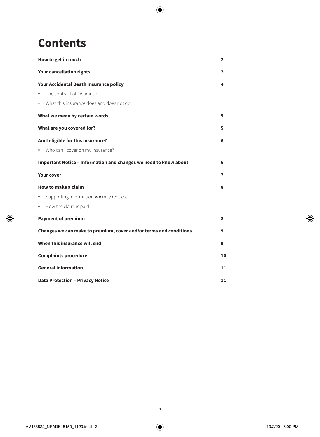## **Contents**

| How to get in touch                                               | $\mathbf{2}$ |
|-------------------------------------------------------------------|--------------|
| <b>Your cancellation rights</b>                                   | $\mathbf{2}$ |
| Your Accidental Death Insurance policy                            |              |
| The contract of insurance<br>$\bullet$                            |              |
| • What this insurance does and does not do                        |              |
| What we mean by certain words                                     | 5            |
| What are you covered for?                                         | 5            |
| Am I eligible for this insurance?                                 | 6            |
| • Who can I cover on my insurance?                                |              |
| Important Notice - Information and changes we need to know about  | 6            |
| <b>Your cover</b>                                                 | 7            |
| How to make a claim                                               | 8            |
| Supporting information we may request<br>٠                        |              |
| • How the claim is paid                                           |              |
| <b>Payment of premium</b>                                         | 8            |
| Changes we can make to premium, cover and/or terms and conditions | 9            |
| When this insurance will end                                      | 9            |
| <b>Complaints procedure</b>                                       |              |
| <b>General information</b>                                        |              |
| <b>Data Protection - Privacy Notice</b>                           |              |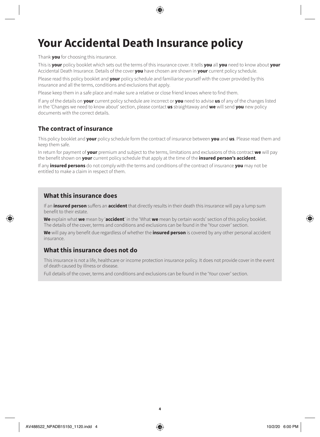# **Your Accidental Death Insurance policy**

Thank **you** for choosing this insurance.

This is **your** policy booklet which sets out the terms of this insurance cover. It tells **you** all **you** need to know about **your** Accidental Death Insurance. Details of the cover **you** have chosen are shown in **your** current policy schedule.

Please read this policy booklet and **your** policy schedule and familiarise yourself with the cover provided by this insurance and all the terms, conditions and exclusions that apply.

Please keep them in a safe place and make sure a relative or close friend knows where to find them.

If any of the details on **your** current policy schedule are incorrect or **you** need to advise **us** of any of the changes listed in the 'Changes we need to know about' section, please contact **us** straightaway and **we** will send **you** new policy documents with the correct details.

### **The contract of insurance**

This policy booklet and **your** policy schedule form the contract of insurance between **you** and **us**. Please read them and keep them safe.

In return for payment of **your** premium and subject to the terms, limitations and exclusions of this contract **we** will pay the benefit shown on **your** current policy schedule that apply at the time of the **insured person's accident**.

If any **insured persons** do not comply with the terms and conditions of the contract of insurance **you** may not be entitled to make a claim in respect of them.

### **What this insurance does**

If an **insured person** suffers an **accident** that directly results in their death this insurance will pay a lump sum benefit to their estate.

**We** explain what **we** mean by '**accident**' in the 'What **we** mean by certain words' section of this policy booklet. The details of the cover, terms and conditions and exclusions can be found in the 'Your cover' section.

**We** will pay any benefit due regardless of whether the **insured person** is covered by any other personal accident insurance.

### **What this insurance does not do**

This insurance is not a life, healthcare or income protection insurance policy. It does not provide cover in the event of death caused by illness or disease.

Full details of the cover, terms and conditions and exclusions can be found in the 'Your cover' section.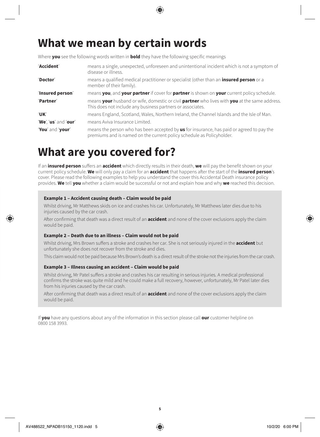## **What we mean by certain words**

Where **you** see the following words written in **bold** they have the following specific meanings

| 'Accident'           | means a single, unexpected, unforeseen and unintentional incident which is not a symptom of<br>disease or illness.                                                 |
|----------------------|--------------------------------------------------------------------------------------------------------------------------------------------------------------------|
| 'Doctor'             | means a qualified medical practitioner or specialist (other than an <b>insured person</b> or a<br>member of their family).                                         |
| 'Insured person'     | means you, and your partner if cover for partner is shown on your current policy schedule.                                                                         |
| 'Partner'            | means your husband or wife, domestic or civil partner who lives with you at the same address.<br>This does not include any business partners or associates.        |
| 'UK'                 | means England, Scotland, Wales, Northern Ireland, the Channel Islands and the Isle of Man.                                                                         |
| 'We', 'us' and 'our' | means Aviva Insurance Limited.                                                                                                                                     |
| 'You' and 'your'     | means the person who has been accepted by us for insurance, has paid or agreed to pay the<br>premiums and is named on the current policy schedule as Policyholder. |

### **What are you covered for?**

If an **insured person** suffers an **accident** which directly results in their death, **we** will pay the benefit shown on your current policy schedule. **We** will only pay a claim for an **accident** that happens after the start of the **insured person**'s cover. Please read the following examples to help you understand the cover this Accidental Death insurance policy provides. **We** tell **you** whether a claim would be successful or not and explain how and why **we** reached this decision.

#### **Example 1 – Accident causing death – Claim would be paid**

Whilst driving, Mr Matthews skids on ice and crashes his car. Unfortunately, Mr Matthews later dies due to his injuries caused by the car crash.

After confirming that death was a direct result of an **accident** and none of the cover exclusions apply the claim would be paid.

#### **Example 2 – Death due to an illness – Claim would not be paid**

Whilst driving, Mrs Brown suffers a stroke and crashes her car. She is not seriously injured in the **accident** but unfortunately she does not recover from the stroke and dies.

This claim would not be paid because Mrs Brown's death is a direct result of the stroke not the injuries from the car crash.

#### **Example 3 – Illness causing an accident – Claim would be paid**

Whilst driving, Mr Patel suffers a stroke and crashes his car resulting in serious injuries. A medical professional confirms the stroke was quite mild and he could make a full recovery, however, unfortunately, Mr Patel later dies from his injuries caused by the car crash.

After confirming that death was a direct result of an **accident** and none of the cover exclusions apply the claim would be paid.

If **you** have any questions about any of the information in this section please call **our** customer helpline on 0800 158 3993.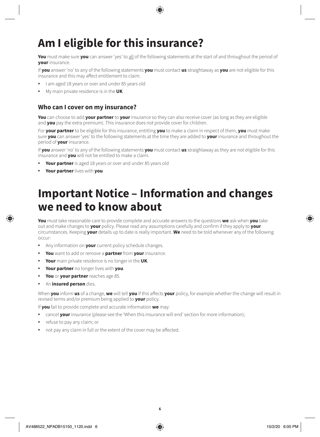# **Am I eligible for this insurance?**

**You** must make sure **you** can answer 'yes' to all of the following statements at the start of and throughout the period of **your** insurance.

If **you** answer 'no' to any of the following statements **you** must contact **us** straightaway as **you** are not eligible for this insurance and this may affect entitlement to claim.

- I am aged 18 years or over and under 85 years old
- My main private residence is in the **UK**

### **Who can I cover on my insurance?**

**You** can choose to add **your partner** to **your** insurance so they can also receive cover (as long as they are eligible and **you** pay the extra premium). This insurance does not provide cover for children.

For **your partner** to be eligible for this insurance, entitling **you** to make a claim in respect of them, **you** must make sure **you** can answer 'yes' to the following statements at the time they are added to **your** insurance and throughout the period of **your** insurance.

If **you** answer 'no' to any of the following statements **you** must contact **us** straightaway as they are not eligible for this insurance and **you** will not be entitled to make a claim.

- **Your partner** is aged 18 years or over and under 85 years old
- **Your partner** lives with **you**

### **Important Notice – Information and changes we need to know about**

**You** must take reasonable care to provide complete and accurate answers to the questions **we** ask when **you** take out and make changes to **your** policy. Please read any assumptions carefully and confirm if they apply to **your** circumstances. Keeping **your** details up to date is really important. **We** need to be told whenever any of the following occur:

- Any information on **your** current policy schedule changes.
- **You** want to add or remove a **partner** from **your** insurance.
- **Your** main private residence is no longer in the **UK**.
- **Your partner** no longer lives with **you**.
- **You** or **your partner** reaches age 85.
- An **insured person** dies.

When **you** inform **us** of a change, **we** will tell **you** if this affects **your** policy, for example whether the change will result in revised terms and/or premium being applied to **your** policy.

If **you** fail to provide complete and accurate information **we** may:

- cancel **your** insurance (please see the 'When this insurance will end' section for more information);
- refuse to pay any claim; or
- not pay any claim in full or the extent of the cover may be affected.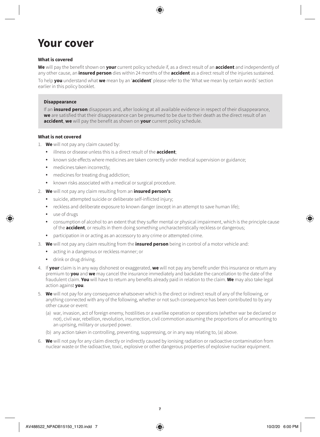### **Your cover**

#### **What is covered**

**We** will pay the benefit shown on **your** current policy schedule if, as a direct result of an **accident** and independently of any other cause, an **insured person** dies within 24 months of the **accident** as a direct result of the injuries sustained.

To help **you** understand what **we** mean by an '**accident**' please refer to the 'What we mean by certain words' section earlier in this policy booklet.

#### **Disappearance**

If an **insured person** disappears and, after looking at all available evidence in respect of their disappearance, **we** are satisfied that their disappearance can be presumed to be due to their death as the direct result of an **accident**, **we** will pay the benefit as shown on **your** current policy schedule.

#### **What is not covered**

- 1. **We** will not pay any claim caused by:
	- illness or disease unless this is a direct result of the **accident**;
	- known side effects where medicines are taken correctly under medical supervision or guidance;
	- medicines taken incorrectly;
	- medicines for treating drug addiction;
	- known risks associated with a medical or surgical procedure.
- 2. **We** will not pay any claim resulting from an **insured person's**:
	- suicide, attempted suicide or deliberate self-inflicted injury;
	- reckless and deliberate exposure to known danger (except in an attempt to save human life);
	- use of drugs
	- consumption of alcohol to an extent that they suffer mental or physical impairment, which is the principle cause of the **accident**, or results in them doing something uncharacteristically reckless or dangerous;
	- participation in or acting as an accessory to any crime or attempted crime.
- 3. **We** will not pay any claim resulting from the **insured person** being in control of a motor vehicle and:
	- acting in a dangerous or reckless manner; or
	- drink or drug driving.
- 4. If **your** claim is in any way dishonest or exaggerated, **we** will not pay any benefit under this insurance or return any premium to **you** and **we** may cancel the insurance immediately and backdate the cancellation to the date of the fraudulent claim. **You** will have to return any benefits already paid in relation to the claim. **We** may also take legal action against **you**.
- 5. **We** will not pay for any consequence whatsoever which is the direct or indirect result of any of the following, or anything connected with any of the following, whether or not such consequence has been contributed to by any other cause or event:
	- (a) war, invasion, act of foreign enemy, hostilities or a warlike operation or operations (whether war be declared or not), civil war, rebellion, revolution, insurrection, civil commotion assuming the proportions of or amounting to an uprising, military or usurped power.
	- (b) any action taken in controlling, preventing, suppressing, or in any way relating to, (a) above.
- 6. **We** will not pay for any claim directly or indirectly caused by ionising radiation or radioactive contamination from nuclear waste or the radioactive, toxic, explosive or other dangerous properties of explosive nuclear equipment.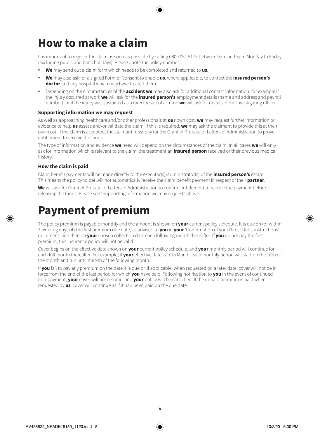# **How to make a claim**

It is important to register the claim as soon as possible by calling 0800 051 5175 between 9am and 5pm Monday to Friday (excluding public and bank holidays). Please quote the policy number.

- **We** may send out a claim form which needs to be completed and returned to **us**.
- **We** may also ask for a signed Form of Consent to enable **us**, where applicable, to contact the **insured person's doctor** and any hospital which may have treated them.
- Depending on the circumstances of the **accident we** may also ask for additional contact information, for example if the injury occurred at work **we** will ask for the **insured person's** employment details (name and address and payroll number), or if the injury was sustained as a direct result of a crime **we** will ask for details of the investigating officer.

#### **Supporting information we may request**

As well as approaching healthcare and/or other professionals at **our** own cost, **we** may request further information or evidence to help **us** assess and/or validate the claim. If this is required, **we** may ask the claimant to provide this at their own cost. If the claim is accepted, the claimant must pay for the Grant of Probate or Letters of Administration to prove entitlement to receive the funds.

The type of information and evidence **we** need will depend on the circumstances of the claim. In all cases **we** will only ask for information which is relevant to the claim, the treatment an **insured person** received or their previous medical history.

#### **How the claim is paid**

Claim benefit payments will be made directly to the executor(s)/administrator(s) of the **insured person's** estate. This means the policyholder will not automatically receive the claim benefit payment in respect of their **partner**.

**We** will ask for Grant of Probate or Letters of Administration to confirm entitlement to receive the payment before releasing the funds. Please see "Supporting information we may request" above.

### **Payment of premium**

The policy premium is payable monthly and the amount is shown on **your** current policy schedule. It is due on (or within 3 working days of) the first premium due date, as advised to **you** in **your** 'Confirmation of your Direct Debit instructions' document, and then on **your** chosen collection date each following month thereafter. If **you** do not pay the first premium, this insurance policy will not be valid.

Cover begins on the effective date shown on **your** current policy schedule, and **your** monthly period will continue for each full month thereafter. For example; if **your** effective date is 10th March, each monthly period will start on the 10th of the month and run until the 9th of the following month.

If **you** fail to pay any premium on the date it is due or, if applicable, when requested on a later date, cover will not be in force from the end of the last period for which **you** have paid. Following notification to **you** in the event of continued non-payment, **your** cover will not resume, and **your** policy will be cancelled. If the unpaid premium is paid when requested by **us**, cover will continue as if it had been paid on the due date.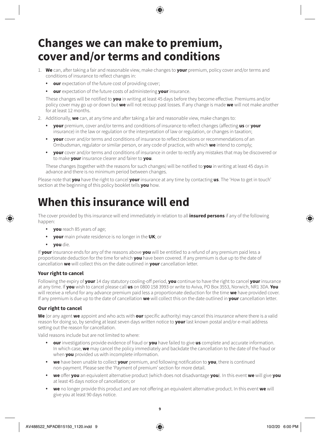### **Changes we can make to premium, cover and/or terms and conditions**

- 1. **We** can, after taking a fair and reasonable view, make changes to **your** premium, policy cover and/or terms and conditions of insurance to reflect changes in:
	- **our** expectation of the future cost of providing cover;
	- **our** expectation of the future costs of administering **your** insurance.

These changes will be notified to **you** in writing at least 45 days before they become effective. Premiums and/or policy cover may go up or down but **we** will not recoup past losses. If any change is made **we** will not make another for at least 12 months.

- 2. Additionally, **we** can, at any time and after taking a fair and reasonable view, make changes to:
	- **your** premium, cover and/or terms and conditions of insurance to reflect changes (affecting **us** or **your** insurance) in the law or regulation or the interpretation of law or regulation, or changes in taxation;
	- **your** cover and/or terms and conditions of insurance to reflect decisions or recommendations of an Ombudsman, regulator or similar person, or any code of practice, with which **we** intend to comply;
	- **your** cover and/or terms and conditions of insurance in order to rectify any mistakes that may be discovered or to make **your** insurance clearer and fairer to **you**.

These changes (together with the reasons for such changes) will be notified to **you** in writing at least 45 days in advance and there is no minimum period between changes.

Please note that **you** have the right to cancel **your** insurance at any time by contacting **us**. The 'How to get in touch' section at the beginning of this policy booklet tells **you** how.

### **When this insurance will end**

The cover provided by this insurance will end immediately in relation to all **insured persons** if any of the following happen:

- **you** reach 85 years of age;
- **your** main private residence is no longer in the **UK**; or
- **you** die.

If **your** insurance ends for any of the reasons above **you** will be entitled to a refund of any premium paid less a proportionate deduction for the time for which **you** have been covered. If any premium is due up to the date of cancellation **we** will collect this on the date outlined in **your** cancellation letter.

#### **Your right to cancel**

Following the expiry of **your** 14 day statutory cooling-off period, **you** continue to have the right to cancel **your** insurance at any time. If **you** wish to cancel please call **us** on 0800 158 3993 or write to Aviva, PO Box 3553, Norwich, NR1 3DA. **You** will receive a refund for any advance premium paid less a proportionate deduction for the time **we** have provided cover. If any premium is due up to the date of cancellation **we** will collect this on the date outlined in **your** cancellation letter.

#### **Our right to cancel**

**We** (or any agent **we** appoint and who acts with **our** specific authority) may cancel this insurance where there is a valid reason for doing so, by sending at least seven days written notice to **your** last known postal and/or e-mail address setting out the reason for cancellation.

Valid reasons include but are not limited to where:

- **our** investigations provide evidence of fraud or **you** have failed to give **us** complete and accurate information. In which case, **we** may cancel the policy immediately and backdate the cancellation to the date of the fraud or when **you** provided us with incomplete information.
- **we** have been unable to collect **your** premium, and following notification to **you**, there is continued non-payment. Please see the 'Payment of premium' section for more detail.
- **we** offer **you** an equivalent alternative product (which does not disadvantage **you**). In this event **we** will give **you** at least 45 days notice of cancellation; or
- **we** no longer provide this product and are not offering an equivalent alternative product. In this event **we** will give you at least 90 days notice.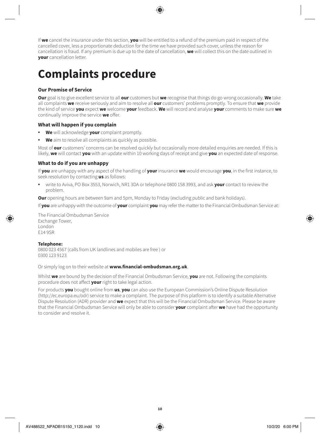If **we** cancel the insurance under this section, **you** will be entitled to a refund of the premium paid in respect of the cancelled cover, less a proportionate deduction for the time we have provided such cover, unless the reason for cancellation is fraud. If any premium is due up to the date of cancellation, **we** will collect this on the date outlined in **your** cancellation letter.

# **Complaints procedure**

#### **Our Promise of Service**

**Our** goal is to give excellent service to all **our** customers but **we** recognise that things do go wrong occasionally. **We** take all complaints **we** receive seriously and aim to resolve all **our** customers' problems promptly. To ensure that **we** provide the kind of service **you** expect **we** welcome **your** feedback. **We** will record and analyse **your** comments to make sure **we** continually improve the service **we** offer.

#### **What will happen if you complain**

- **We** will acknowledge **your** complaint promptly.
- **We** aim to resolve all complaints as quickly as possible.

Most of **our** customers' concerns can be resolved quickly but occasionally more detailed enquiries are needed. If this is likely, **we** will contact **you** with an update within 10 working days of receipt and give **you** an expected date of response.

#### **What to do if you are unhappy**

If **you** are unhappy with any aspect of the handling of **your** insurance **we** would encourage **you**, in the first instance, to seek resolution by contacting **us** as follows:

• write to Aviva, PO Box 3553, Norwich, NR1 3DA or telephone 0800 158 3993, and ask **your** contact to review the problem.

**Our** opening hours are between 9am and 5pm, Monday to Friday (excluding public and bank holidays).

If **you** are unhappy with the outcome of **your** complaint **you** may refer the matter to the Financial Ombudsman Service at:

The Financial Ombudsman Service Exchange Tower, London E14 9SR

#### **Telephone:**

0800 023 4567 (calls from UK landlines and mobiles are free ) or 0300 123 9123

Or simply log on to their website at **www.financial-ombudsman.org.uk**.

Whilst **we** are bound by the decision of the Financial Ombudsman Service, **you** are not. Following the complaints procedure does not affect **your** right to take legal action.

For products **you** bought online from **us**, **you** can also use the European Commission's Online Dispute Resolution (http://ec.europa.eu/odr) service to make a complaint. The purpose of this platform is to identify a suitable Alternative Dispute Resolution (ADR) provider and **we** expect that this will be the Financial Ombudsman Service. Please be aware that the Financial Ombudsman Service will only be able to consider **your** complaint after **we** have had the opportunity to consider and resolve it.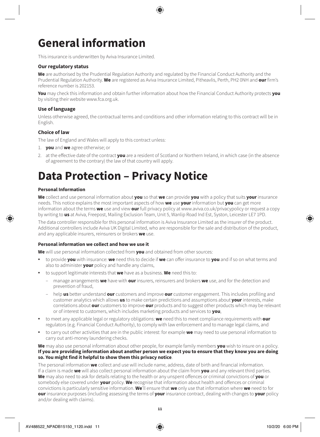# **General information**

This insurance is underwritten by Aviva Insurance Limited.

#### **Our regulatory status**

**We** are authorised by the Prudential Regulation Authority and regulated by the Financial Conduct Authority and the Prudential Regulation Authority. **We** are registered as Aviva Insurance Limited, Pitheavlis, Perth, PH2 0NH and **our** firm's reference number is 202153.

**You** may check this information and obtain further information about how the Financial Conduct Authority protects **you** by visiting their website www.fca.org.uk.

#### **Use of language**

Unless otherwise agreed, the contractual terms and conditions and other information relating to this contract will be in English.

#### **Choice of law**

The law of England and Wales will apply to this contract unless:

- 1. **you** and **we** agree otherwise; or
- 2. at the effective date of the contract **you** are a resident of Scotland or Northern Ireland, in which case (in the absence of agreement to the contrary) the law of that country will apply.

## **Data Protection – Privacy Notice**

#### **Personal Information**

**We** collect and use personal information about **you** so that **we** can provide **you** with a policy that suits **your** insurance needs. This notice explains the most important aspects of how **we** use **your** information but **you** can get more information about the terms **we** use and view **our** full privacy policy at www.aviva.co.uk/privacypolicy or request a copy by writing to **us** at Aviva, Freepost, Mailing Exclusion Team, Unit 5, Wanlip Road Ind Est, Syston, Leicester LE7 1PD.

The data controller responsible for this personal information is Aviva Insurance Limited as the insurer of the product. Additional controllers include Aviva UK Digital Limited, who are responsible for the sale and distribution of the product, and any applicable insurers, reinsurers or brokers **we** use.

#### **Personal information we collect and how we use it**

**We** will use personal information collected from **you** and obtained from other sources:

- to provide **you** with insurance: **we** need this to decide if **we** can offer insurance to **you** and if so on what terms and also to administer **your** policy and handle any claims,
- to support legitimate interests that **we** have as a business. **We** need this to:
	- manage arrangements **we** have with **our** insurers, reinsurers and brokers **we** use, and for the detection and prevention of fraud,
	- help **us** better understand **our** customers and improve **our** customer engagement. This includes profiling and customer analytics which allows **us** to make certain predictions and assumptions about **your** interests, make correlations about **our** customers to improve **our** products and to suggest other products which may be relevant or of interest to customers, which includes marketing products and services to **you**,
- to meet any applicable legal or regulatory obligations: **we** need this to meet compliance requirements with **our** regulators (e.g. Financial Conduct Authority), to comply with law enforcement and to manage legal claims, and
- to carry out other activities that are in the public interest: for example **we** may need to use personal information to carry out anti-money laundering checks.

**We** may also use personal information about other people, for example family members **you** wish to insure on a policy. **If you are providing information about another person we expect you to ensure that they know you are doing so. You might find it helpful to show them this privacy notice**.

The personal information **we** collect and use will include name, address, date of birth and financial information. If a claim is made **we** will also collect personal information about the claim from **you** and any relevant third parties. **We** may also need to ask for details relating to the health or any unspent offences or criminal convictions of **you** or somebody else covered under **your** policy. **We** recognise that information about health and offences or criminal convictions is particularly sensitive information. **We**'ll ensure that **we** only use that information where **we** need to for **our** insurance purposes (including assessing the terms of **your** insurance contract, dealing with changes to **your** policy and/or dealing with claims).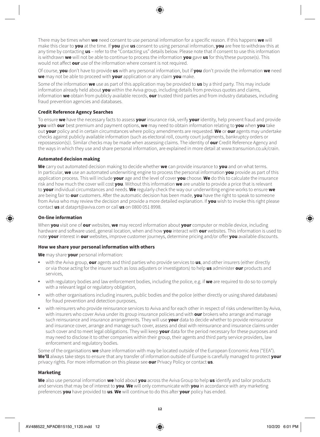There may be times when **we** need consent to use personal information for a specific reason. If this happens **we** will make this clear to **you** at the time. If **you** give **us** consent to using personal information, **you** are free to withdraw this at any time by contacting **us** – refer to the "Contacting us" details below. Please note that if consent to use this information is withdrawn **we** will not be able to continue to process the information **you** gave **us** for this/these purpose(s). This would not affect **our** use of the information where consent is not required.

Of course, **you** don't have to provide **us** with any personal information, but if **you** don't provide the information **we** need **we** may not be able to proceed with **your** application or any claim **you** make.

Some of the information **we** use as part of this application may be provided to **us** by a third party. This may include information already held about **you** within the Aviva group, including details from previous quotes and claims, information **we** obtain from publicly available records, **our** trusted third parties and from industry databases, including fraud prevention agencies and databases.

#### **Credit Reference Agency Searches**

To ensure **we** have the necessary facts to assess **your** insurance risk, verify **your** identity, help prevent fraud and provide **you** with **our** best premium and payment options, **we** may need to obtain information relating to **you** when **you** take out **your** policy and in certain circumstances where policy amendments are requested. **We** or **our** agents may undertake checks against publicly available information (such as electoral roll, county court judgments, bankruptcy orders or repossession(s)). Similar checks may be made when assessing claims. The identity of **our** Credit Reference Agency and the ways in which they use and share personal information, are explained in more detail at www.transunion.co.uk/crain.

#### **Automated decision making**

**We** carry out automated decision making to decide whether **we** can provide insurance to **you** and on what terms. In particular, **we** use an automated underwriting engine to process the personal information **you** provide as part of this application process. This will include **your** age and the level of cover **you** choose. **We** do this to calculate the insurance risk and how much the cover will cost **you**. Without this information **we** are unable to provide a price that is relevant to **your** individual circumstances and needs. **We** regularly check the way our underwriting engine works to ensure **we** are being fair to **our** customers. After the automatic decision has been made, **you** have the right to speak to someone from Aviva who may review the decision and provide a more detailed explanation. If **you** wish to invoke this right please contact **us** at dataprt@aviva.com or call **us** on 0800 051 8998.

#### **On-line information**

When **you** visit one of **our** websites, **we** may record information about **your** computer or mobile device, including hardware and software used, general location, when and how **you** interact with **our** websites. This information is used to note **your** interest in **our** websites, improve customer journeys, determine pricing and/or offer **you** available discounts.

#### **How we share your personal information with others**

**We** may share **your** personal information:

- with the Aviva group, **our** agents and third parties who provide services to **us**, and other insurers (either directly or via those acting for the insurer such as loss adjusters or investigators) to help **us** administer **our** products and services,
- with regulatory bodies and law enforcement bodies, including the police, e.g. if **we** are required to do so to comply with a relevant legal or regulatory obligation,
- with other organisations including insurers, public bodies and the police (either directly or using shared databases) for fraud prevention and detection purposes,
- with reinsurers who provide reinsurance services to Aviva and for each other in respect of risks underwritten by Aviva, with insurers who cover Aviva under its group insurance policies and with **our** brokers who arrange and manage such reinsurance and insurance arrangements. They will use **your** data to decide whether to provide reinsurance and insurance cover, arrange and manage such cover, assess and deal with reinsurance and insurance claims under such cover and to meet legal obligations. They will keep **your** data for the period necessary for these purposes and may need to disclose it to other companies within their group, their agents and third party service providers, law enforcement and regulatory bodies.

Some of the organisations **we** share information with may be located outside of the European Economic Area ("EEA"). **We'll** always take steps to ensure that any transfer of information outside of Europe is carefully managed to protect **your** privacy rights. For more information on this please see **our** Privacy Policy or contact **us**.

#### **Marketing**

**We** also use personal information **we** hold about **you** across the Aviva Group to help **us** identify and tailor products and services that may be of interest to **you**. **We** will only communicate with **you** in accordance with any marketing preferences **you** have provided to **us**. **We** will continue to do this after **your** policy has ended.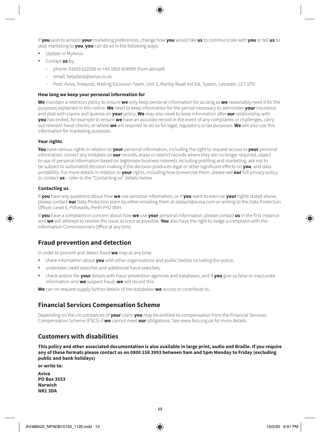If **you** wish to amend **your** marketing preferences, change how **you** would like **us** to communicate with **you** or tell **us** to stop marketing to **you**, **you** can do so in the following ways:

- Update in MyAviva
- Contact **us** by:
	- phone: 01603 622200 or +44 1603 604999 (from abroad)
	- email: helpdesk@aviva.co.uk
	- Post: Aviva, Freepost, Mailing Exclusion Team, Unit 5, Wanlip Road Ind Est, Syston, Leicester, LE7 1PD

#### **How long we keep your personal information for**

**We** maintain a retention policy to ensure **we** only keep personal information for as long as **we** reasonably need it for the purposes explained in this notice. **We** need to keep information for the period necessary to administer **your** insurance and deal with claims and queries on **your** policy. **We** may also need to keep information after **our** relationship with **you** has ended, for example to ensure **we** have an accurate record in the event of any complaints or challenges, carry out relevant fraud checks, or where **we** are required to do so for legal, regulatory or tax purposes. **We** will also use this information for marketing purposes.

#### **Your rights**

**You** have various rights in relation to **your** personal information, including the right to request access to **your** personal information, correct any mistakes on **our** records, erase or restrict records where they are no longer required, object to use of personal information based on legitimate business interests including profiling and marketing, ask not to be subject to automated decision making if the decision produces legal or other significant effects on **you**, and data portability. For more details in relation to **your** rights, including how to exercise them, please see **our** full privacy policy or contact **us** – refer to the "Contacting us" details below.

#### **Contacting us**

If **you** have any questions about how **we** use personal information, or if **you** want to exercise **your** rights stated above, please contact **our** Data Protection team by either emailing them at dataprt@aviva.com or writing to the Data Protection Officer, Level 5, Pitheavlis, Perth PH2 0NH.

If **you** have a complaint or concern about how **we** use **your** personal information, please contact **us** in the first instance and **we** will attempt to resolve the issue as soon as possible. **You** also have the right to lodge a complaint with the Information Commissioners Office at any time.

### **Fraud prevention and detection**

In order to prevent and detect fraud **we** may at any time:

- share information about **you** with other organisations and public bodies including the police;
- undertake credit searches and additional fraud searches;
- check and/or file **your** details with fraud prevention agencies and databases, and if **you** give us false or inaccurate information and **we** suspect fraud, **we** will record this.

**We** can on request supply further details of the databases **we** access or contribute to.

### **Financial Services Compensation Scheme**

Depending on the circumstances of **your** claim **you** may be entitled to compensation from the Financial Services Compensation Scheme (FSCS) if **we** cannot meet **our** obligations. See www.fscs.org.uk for more details.

### **Customers with disabilities**

**This policy and other associated documentation is also available in large print, audio and Braille. If you require any of these formats please contact us on 0800 158 3993 between 9am and 5pm Monday to Friday (excluding public and bank holidays)**

**or write to:**

**Aviva PO Box 3553 Norwich NR1 3DA**